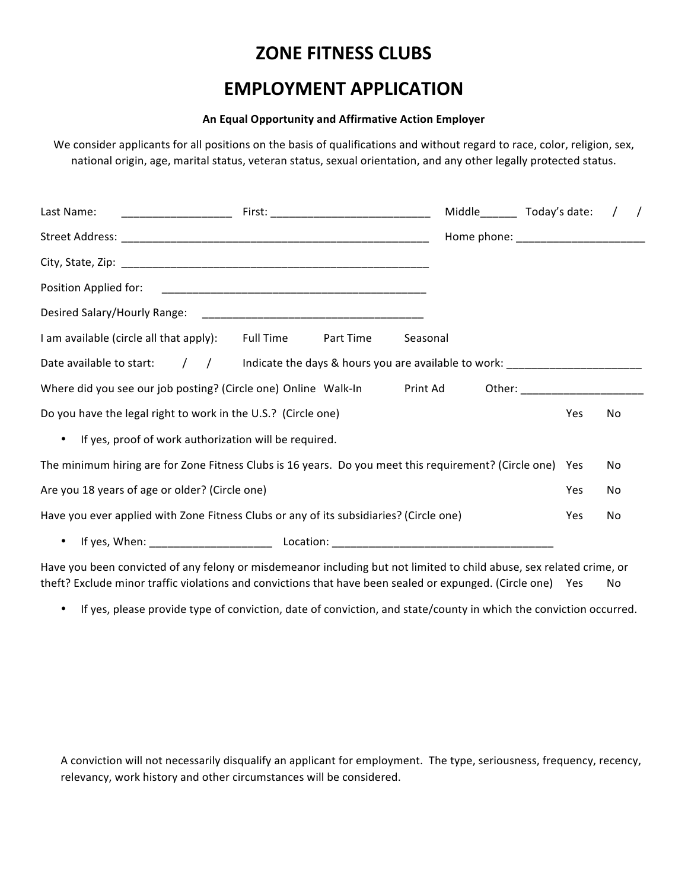# **ZONE FITNESS CLUBS**

# **EMPLOYMENT APPLICATION**

## **An Equal Opportunity and Affirmative Action Employer**

We consider applicants for all positions on the basis of qualifications and without regard to race, color, religion, sex, national origin, age, marital status, veteran status, sexual orientation, and any other legally protected status.

| Last Name:                                                                                                     |           |          |            |           |  |
|----------------------------------------------------------------------------------------------------------------|-----------|----------|------------|-----------|--|
|                                                                                                                |           |          |            |           |  |
|                                                                                                                |           |          |            |           |  |
|                                                                                                                |           |          |            |           |  |
|                                                                                                                |           |          |            |           |  |
| I am available (circle all that apply): Full Time                                                              | Part Time | Seasonal |            |           |  |
| Date available to start: ( ) ( Indicate the days & hours you are available to work: __________________________ |           |          |            |           |  |
| Where did you see our job posting? (Circle one) Online Walk-In Print Ad Other: ____________________            |           |          |            |           |  |
| Do you have the legal right to work in the U.S.? (Circle one)                                                  |           |          | Yes        | <b>No</b> |  |
| • If yes, proof of work authorization will be required.                                                        |           |          |            |           |  |
| The minimum hiring are for Zone Fitness Clubs is 16 years. Do you meet this requirement? (Circle one) Yes      |           |          |            | No        |  |
| Are you 18 years of age or older? (Circle one)                                                                 |           |          | <b>Yes</b> | No        |  |
| Have you ever applied with Zone Fitness Clubs or any of its subsidiaries? (Circle one)                         |           |          | Yes        | No        |  |
|                                                                                                                |           |          |            |           |  |

Have you been convicted of any felony or misdemeanor including but not limited to child abuse, sex related crime, or theft? Exclude minor traffic violations and convictions that have been sealed or expunged. (Circle one) Yes No

• If yes, please provide type of conviction, date of conviction, and state/county in which the conviction occurred.

A conviction will not necessarily disqualify an applicant for employment. The type, seriousness, frequency, recency, relevancy, work history and other circumstances will be considered.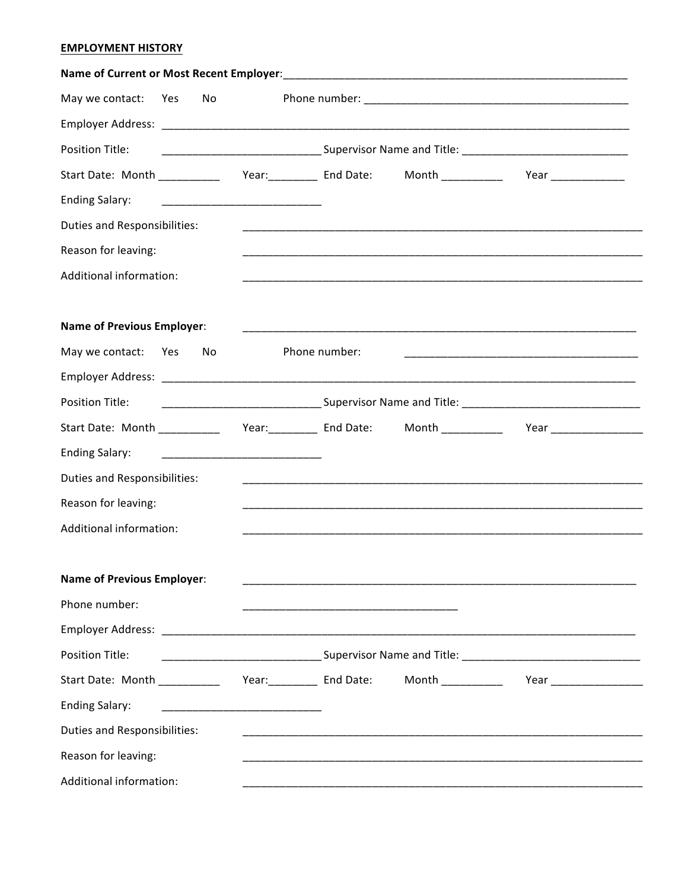## **EMPLOYMENT HISTORY**

| May we contact:                                          | Yes | No |                                                            |                                                                                                                       |                                                                                                                       |                                                                                                                        |  |
|----------------------------------------------------------|-----|----|------------------------------------------------------------|-----------------------------------------------------------------------------------------------------------------------|-----------------------------------------------------------------------------------------------------------------------|------------------------------------------------------------------------------------------------------------------------|--|
|                                                          |     |    |                                                            |                                                                                                                       |                                                                                                                       |                                                                                                                        |  |
| Position Title:                                          |     |    |                                                            |                                                                                                                       |                                                                                                                       |                                                                                                                        |  |
|                                                          |     |    |                                                            |                                                                                                                       |                                                                                                                       | Start Date: Month ______________ Year:___________ End Date: Month ______________ Year _____________                    |  |
| <b>Ending Salary:</b>                                    |     |    | ________________________________                           |                                                                                                                       |                                                                                                                       |                                                                                                                        |  |
| Duties and Responsibilities:                             |     |    |                                                            |                                                                                                                       | <u> 1989 - Johann John Stoff, deutscher Stoff, der Stoff, der Stoff, der Stoff, der Stoff, der Stoff, der Stoff, </u> |                                                                                                                        |  |
| Reason for leaving:                                      |     |    |                                                            |                                                                                                                       |                                                                                                                       |                                                                                                                        |  |
| Additional information:                                  |     |    |                                                            |                                                                                                                       |                                                                                                                       |                                                                                                                        |  |
|                                                          |     |    |                                                            |                                                                                                                       |                                                                                                                       |                                                                                                                        |  |
| <b>Name of Previous Employer:</b>                        |     |    |                                                            |                                                                                                                       |                                                                                                                       |                                                                                                                        |  |
| May we contact:                                          | Yes | No |                                                            | Phone number:                                                                                                         |                                                                                                                       | <u> 1989 - Johann Barn, amerikan bernama dalam penyanyi dan bernama dalam penyanyi dan bernama dalam pengaran dala</u> |  |
|                                                          |     |    |                                                            |                                                                                                                       |                                                                                                                       |                                                                                                                        |  |
| Position Title:                                          |     |    |                                                            |                                                                                                                       |                                                                                                                       |                                                                                                                        |  |
| Start Date: Month ____________ Year:__________ End Date: |     |    |                                                            |                                                                                                                       |                                                                                                                       |                                                                                                                        |  |
| <b>Ending Salary:</b>                                    |     |    | <u> 1919 - Johann John Stone, mensk politik fotograf (</u> |                                                                                                                       |                                                                                                                       |                                                                                                                        |  |
| Duties and Responsibilities:                             |     |    |                                                            |                                                                                                                       |                                                                                                                       |                                                                                                                        |  |
| Reason for leaving:                                      |     |    |                                                            |                                                                                                                       |                                                                                                                       |                                                                                                                        |  |
| Additional information:                                  |     |    |                                                            |                                                                                                                       |                                                                                                                       |                                                                                                                        |  |
|                                                          |     |    |                                                            |                                                                                                                       |                                                                                                                       |                                                                                                                        |  |
| <b>Name of Previous Employer:</b>                        |     |    |                                                            |                                                                                                                       | <u> 1980 - Johann Barn, mars and de British and de British and de British and de British and de British and de Br</u> |                                                                                                                        |  |
| Phone number:                                            |     |    |                                                            | <u> 1999 - Johann John Stoff, deutscher Stoffen und der Stoffen und der Stoffen und der Stoffen und der Stoffen u</u> |                                                                                                                       |                                                                                                                        |  |
|                                                          |     |    |                                                            |                                                                                                                       |                                                                                                                       |                                                                                                                        |  |
| <b>Position Title:</b>                                   |     |    |                                                            |                                                                                                                       |                                                                                                                       |                                                                                                                        |  |
|                                                          |     |    |                                                            |                                                                                                                       |                                                                                                                       |                                                                                                                        |  |
| <b>Ending Salary:</b>                                    |     |    |                                                            |                                                                                                                       |                                                                                                                       |                                                                                                                        |  |
| Duties and Responsibilities:                             |     |    |                                                            |                                                                                                                       |                                                                                                                       |                                                                                                                        |  |
| Reason for leaving:                                      |     |    |                                                            |                                                                                                                       |                                                                                                                       |                                                                                                                        |  |
| Additional information:                                  |     |    |                                                            |                                                                                                                       |                                                                                                                       |                                                                                                                        |  |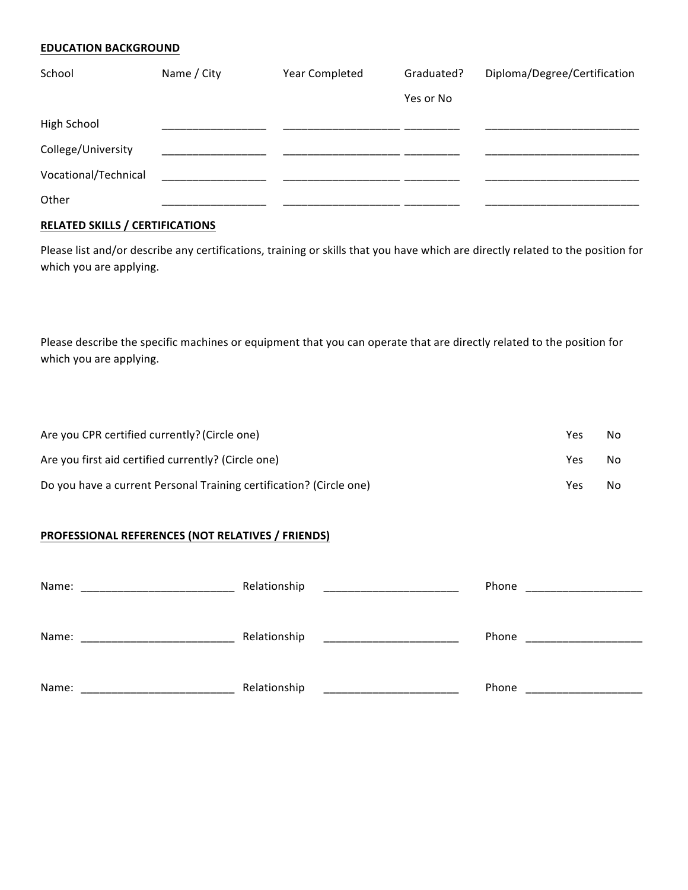#### **EDUCATION BACKGROUND**

| School               | Name / City | Year Completed | Graduated? | Diploma/Degree/Certification |
|----------------------|-------------|----------------|------------|------------------------------|
|                      |             |                | Yes or No  |                              |
| High School          |             |                |            |                              |
| College/University   |             |                |            |                              |
| Vocational/Technical |             |                |            |                              |
| Other                |             |                |            |                              |

# **RELATED SKILLS / CERTIFICATIONS**

Please list and/or describe any certifications, training or skills that you have which are directly related to the position for which you are applying.

Please describe the specific machines or equipment that you can operate that are directly related to the position for which you are applying.

| Are you CPR certified currently? (Circle one)                       | Yes | No. |
|---------------------------------------------------------------------|-----|-----|
| Are you first aid certified currently? (Circle one)                 | Yes | No. |
| Do you have a current Personal Training certification? (Circle one) | Yes | No. |

# **PROFESSIONAL REFERENCES (NOT RELATIVES / FRIENDS)**

| Name: | Relationship | Phone<br>the control of the control of the control of |
|-------|--------------|-------------------------------------------------------|
|       |              |                                                       |
| Name: | Relationship | Phone                                                 |
|       |              |                                                       |
| Name: | Relationship | Phone                                                 |
|       |              |                                                       |